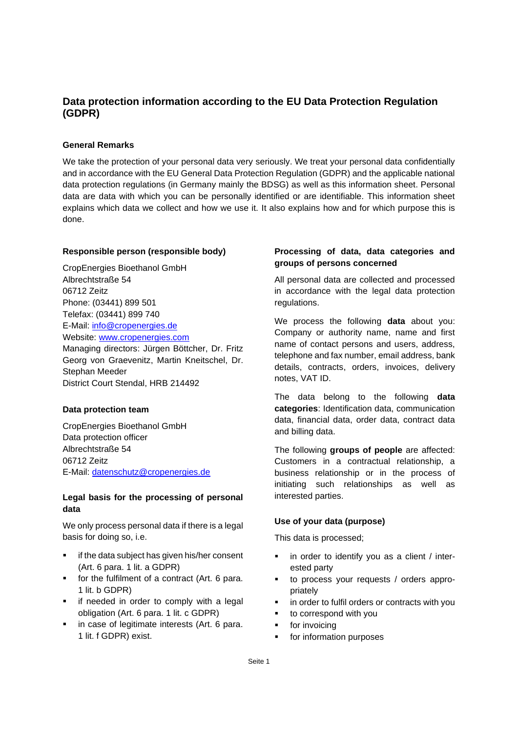# **Data protection information according to the EU Data Protection Regulation (GDPR)**

## **General Remarks**

We take the protection of your personal data very seriously. We treat your personal data confidentially and in accordance with the EU General Data Protection Regulation (GDPR) and the applicable national data protection regulations (in Germany mainly the BDSG) as well as this information sheet. Personal data are data with which you can be personally identified or are identifiable. This information sheet explains which data we collect and how we use it. It also explains how and for which purpose this is done.

## **Responsible person (responsible body)**

CropEnergies Bioethanol GmbH Albrechtstraße 54 06712 Zeitz Phone: (03441) 899 501 Telefax: (03441) 899 740 E-Mail: info@cropenergies.de Website: www.cropenergies.com Managing directors: Jürgen Böttcher, Dr. Fritz Georg von Graevenitz, Martin Kneitschel, Dr. Stephan Meeder

District Court Stendal, HRB 214492

## **Data protection team**

CropEnergies Bioethanol GmbH Data protection officer Albrechtstraße 54 06712 Zeitz E-Mail: [datenschutz@cropenergies.de](mailto:datenschutz@cropenergies.de)

## **Legal basis for the processing of personal data**

We only process personal data if there is a legal basis for doing so, i.e.

- if the data subject has given his/her consent (Art. 6 para. 1 lit. a GDPR)
- for the fulfilment of a contract (Art. 6 para. 1 lit. b GDPR)
- **•** if needed in order to comply with a legal obligation (Art. 6 para. 1 lit. c GDPR)
- in case of legitimate interests (Art. 6 para. 1 lit. f GDPR) exist.

# **Processing of data, data categories and groups of persons concerned**

All personal data are collected and processed in accordance with the legal data protection regulations.

We process the following **data** about you: Company or authority name, name and first name of contact persons and users, address, telephone and fax number, email address, bank details, contracts, orders, invoices, delivery notes, VAT ID.

The data belong to the following **data categories**: Identification data, communication data, financial data, order data, contract data and billing data.

The following **groups of people** are affected: Customers in a contractual relationship, a business relationship or in the process of initiating such relationships as well as interested parties.

## **Use of your data (purpose)**

This data is processed;

- in order to identify you as a client / interested party
- to process your requests / orders appropriately
- **·** in order to fulfil orders or contracts with you
- to correspond with you
- **•** for invoicing
- for information purposes